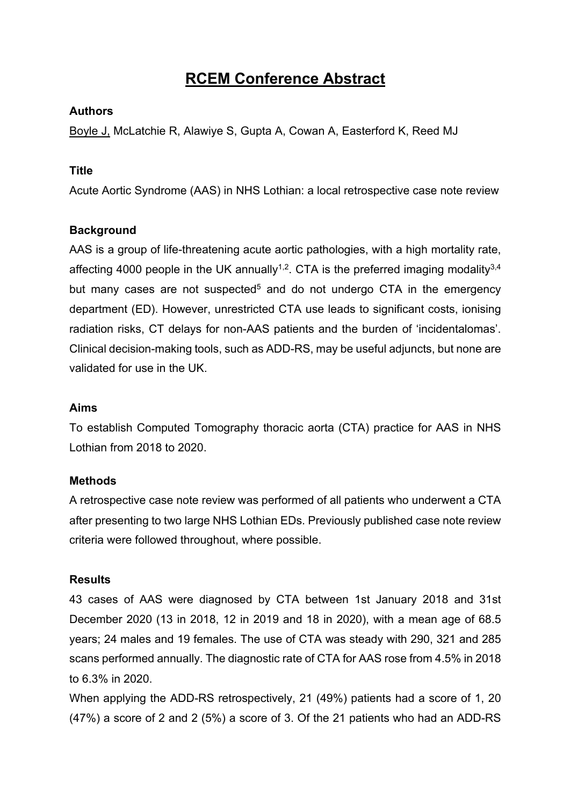# **RCEM Conference Abstract**

## **Authors**

Boyle J, McLatchie R, Alawiye S, Gupta A, Cowan A, Easterford K, Reed MJ

#### **Title**

Acute Aortic Syndrome (AAS) in NHS Lothian: a local retrospective case note review

## **Background**

AAS is a group of life-threatening acute aortic pathologies, with a high mortality rate, affecting 4000 people in the UK annually<sup>1,2</sup>. CTA is the preferred imaging modality<sup>3,4</sup> but many cases are not suspected<sup>5</sup> and do not undergo CTA in the emergency department (ED). However, unrestricted CTA use leads to significant costs, ionising radiation risks, CT delays for non-AAS patients and the burden of 'incidentalomas'. Clinical decision-making tools, such as ADD-RS, may be useful adjuncts, but none are validated for use in the UK.

#### **Aims**

To establish Computed Tomography thoracic aorta (CTA) practice for AAS in NHS Lothian from 2018 to 2020.

#### **Methods**

A retrospective case note review was performed of all patients who underwent a CTA after presenting to two large NHS Lothian EDs. Previously published case note review criteria were followed throughout, where possible.

#### **Results**

43 cases of AAS were diagnosed by CTA between 1st January 2018 and 31st December 2020 (13 in 2018, 12 in 2019 and 18 in 2020), with a mean age of 68.5 years; 24 males and 19 females. The use of CTA was steady with 290, 321 and 285 scans performed annually. The diagnostic rate of CTA for AAS rose from 4.5% in 2018 to 6.3% in 2020.

When applying the ADD-RS retrospectively, 21 (49%) patients had a score of 1, 20 (47%) a score of 2 and 2 (5%) a score of 3. Of the 21 patients who had an ADD-RS